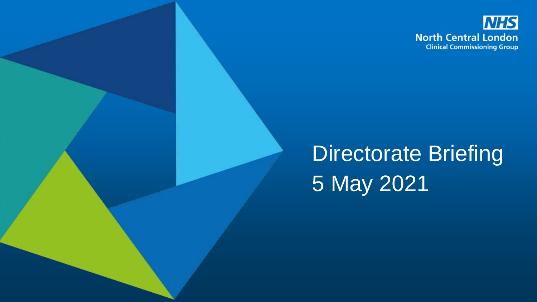

# Directorate Briefing 5 May 2021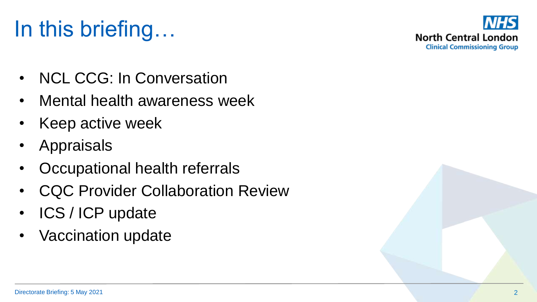# In this briefing…



- NCL CCG: In Conversation
- Mental health awareness week
- Keep active week
- **Appraisals**
- Occupational health referrals
- **CQC Provider Collaboration Review**
- ICS / ICP update
- Vaccination update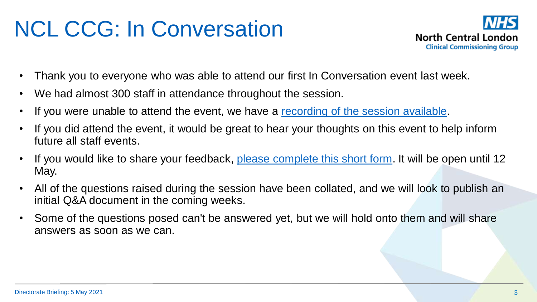# NCL CCG: In Conversation



- Thank you to everyone who was able to attend our first In Conversation event last week.
- We had almost 300 staff in attendance throughout the session.
- If you were unable to attend the event, we have a [recording of the session available.](http://camdenccg.newsweaver.com/Newsletter/uzws06fn8en1gfncbqs1l9/external?a=6&p=7348742&t=356153)
- If you did attend the event, it would be great to hear your thoughts on this event to help inform future all staff events.
- If you would like to share your feedback, [please complete this short form.](http://camdenccg.newsweaver.com/Newsletter/1pvlclr3q9f1gfncbqs1l9/external?a=6&p=7348742&t=356153) It will be open until 12 May.
- All of the questions raised during the session have been collated, and we will look to publish an initial Q&A document in the coming weeks.
- Some of the questions posed can't be answered yet, but we will hold onto them and will share answers as soon as we can.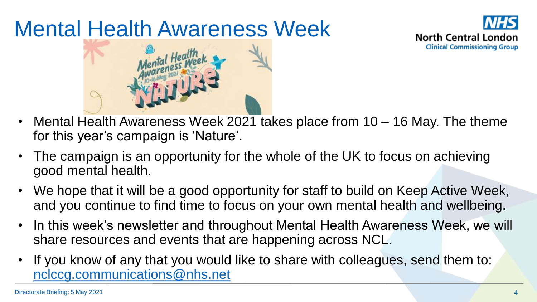# Mental Health Awareness Week





- Mental Health Awareness Week 2021 takes place from 10 16 May. The theme for this year's campaign is 'Nature'.
- The campaign is an opportunity for the whole of the UK to focus on achieving good mental health.
- We hope that it will be a good opportunity for staff to build on Keep Active Week, and you continue to find time to focus on your own mental health and wellbeing.
- In this week's newsletter and throughout Mental Health Awareness Week, we will share resources and events that are happening across NCL.
- If you know of any that you would like to share with colleagues, send them to: [nclccg.communications@nhs.net](mailto:nclccg.communications@nhs.net)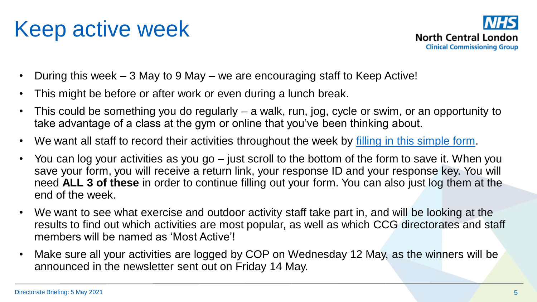### Keep active week



- During this week 3 May to 9 May we are encouraging staff to Keep Active!
- This might be before or after work or even during a lunch break.
- This could be something you do regularly a walk, run, jog, cycle or swim, or an opportunity to take advantage of a class at the gym or online that you've been thinking about.
- We want all staff to record their activities throughout the week by [filling in this simple form.](http://camdenccg.newsweaver.com/Newsletter/1d4cp57poq91gfncbqs1l9/external?a=6&p=7348734&t=356153)
- You can log your activities as you go just scroll to the bottom of the form to save it. When you save your form, you will receive a return link, your response ID and your response key. You will need **ALL 3 of these** in order to continue filling out your form. You can also just log them at the end of the week.
- We want to see what exercise and outdoor activity staff take part in, and will be looking at the results to find out which activities are most popular, as well as which CCG directorates and staff members will be named as 'Most Active'!
- Make sure all your activities are logged by COP on Wednesday 12 May, as the winners will be announced in the newsletter sent out on Friday 14 May.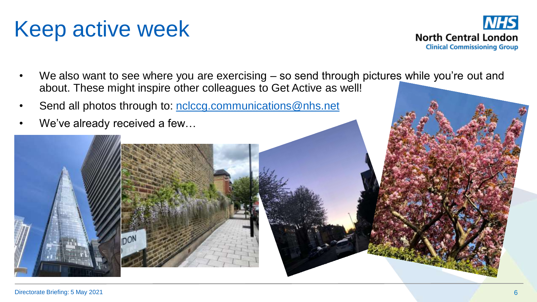### Keep active week



- We also want to see where you are exercising so send through pictures while you're out and about. These might inspire other colleagues to Get Active as well!
- Send all photos through to: [nclccg.communications@nhs.net](mailto:nclccg.communications@nhs.net)
- We've already received a few...

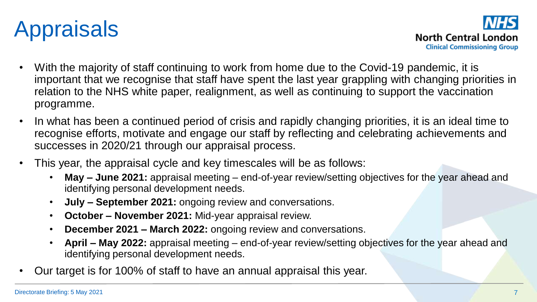

**North Central London Clinical Commissioning Group** 

- With the majority of staff continuing to work from home due to the Covid-19 pandemic, it is important that we recognise that staff have spent the last year grappling with changing priorities in relation to the NHS white paper, realignment, as well as continuing to support the vaccination programme.
- In what has been a continued period of crisis and rapidly changing priorities, it is an ideal time to recognise efforts, motivate and engage our staff by reflecting and celebrating achievements and successes in 2020/21 through our appraisal process.
- This year, the appraisal cycle and key timescales will be as follows:
	- **May – June 2021:** appraisal meeting end-of-year review/setting objectives for the year ahead and identifying personal development needs.
	- **July – September 2021:** ongoing review and conversations.
	- **October – November 2021:** Mid-year appraisal review.
	- **December 2021 – March 2022:** ongoing review and conversations.
	- **April – May 2022:** appraisal meeting end-of-year review/setting objectives for the year ahead and identifying personal development needs.
- Our target is for 100% of staff to have an annual appraisal this year.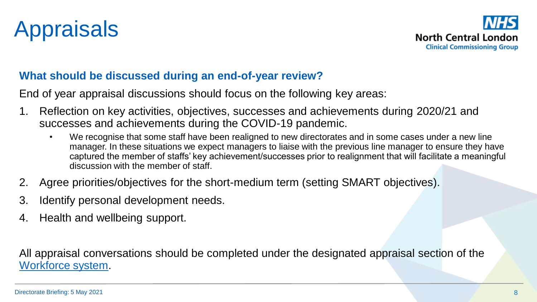



#### **What should be discussed during an end-of-year review?**

End of year appraisal discussions should focus on the following key areas:

- 1. Reflection on key activities, objectives, successes and achievements during 2020/21 and successes and achievements during the COVID-19 pandemic.
	- We recognise that some staff have been realigned to new directorates and in some cases under a new line manager. In these situations we expect managers to liaise with the previous line manager to ensure they have captured the member of staffs' key achievement/successes prior to realignment that will facilitate a meaningful discussion with the member of staff.
- 2. Agree priorities/objectives for the short-medium term (setting SMART objectives).
- 3. Identify personal development needs.
- 4. Health and wellbeing support.

All appraisal conversations should be completed under the designated appraisal section of the [Workforce system.](https://nclccgs.nhsworkforce.org/login/?Msg=s0)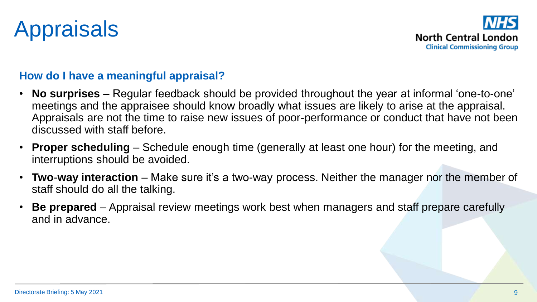# Appraisals



#### **How do I have a meaningful appraisal?**

- **No surprises** Regular feedback should be provided throughout the year at informal 'one-to-one' meetings and the appraisee should know broadly what issues are likely to arise at the appraisal. Appraisals are not the time to raise new issues of poor-performance or conduct that have not been discussed with staff before.
- **Proper scheduling** Schedule enough time (generally at least one hour) for the meeting, and interruptions should be avoided.
- **Two**-**way interaction** Make sure it's a two-way process. Neither the manager nor the member of staff should do all the talking.
- **Be prepared** Appraisal review meetings work best when managers and staff prepare carefully and in advance.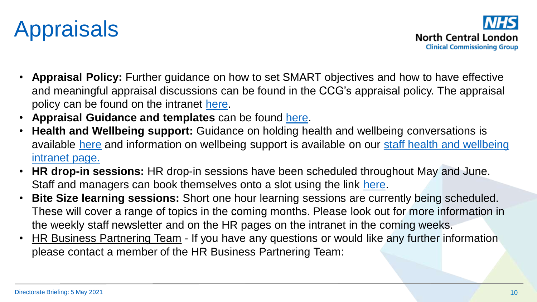### Appraisals

- **Appraisal Policy:** Further guidance on how to set SMART objectives and how to have effective and meaningful appraisal discussions can be found in the CCG's appraisal policy. The appraisal policy can be found on the intranet [here.](https://intranet.northcentrallondonccg.nhs.uk/policies/Appraisal%20Policy%20and%20Procedure.pdf)
- Appraisal Guidance and templates can be found [here.](https://intranet.northcentrallondonccg.nhs.uk/working/appraisals.htm)
- **Health and Wellbeing support:** Guidance on holding health and wellbeing conversations is available [here](https://people.nhs.uk/projectm_old_v1/wellbeing-conversations/) [and information on wellbeing support is available on our staff health and wellbeing](https://intranet.northcentrallondonccg.nhs.uk/health/your-health-and-wellbeing.htm)  intranet page.
- **HR drop-in sessions:** HR drop-in sessions have been scheduled throughout May and June. Staff and managers can book themselves onto a slot using the link [here.](https://www.needtomeet.com/meeting?id=xrsccl6jV)
- **Bite Size learning sessions:** Short one hour learning sessions are currently being scheduled. These will cover a range of topics in the coming months. Please look out for more information in the weekly staff newsletter and on the HR pages on the intranet in the coming weeks.
- **HR Business Partnering Team If you have any questions or would like any further information** please contact a member of the HR Business Partnering Team:

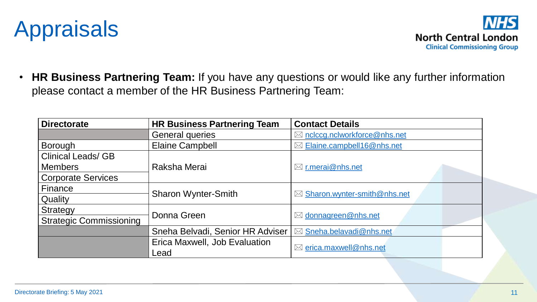



• **HR Business Partnering Team:** If you have any questions or would like any further information please contact a member of the HR Business Partnering Team:

| <b>Directorate</b>             | <b>HR Business Partnering Team</b> | <b>Contact Details</b>                  |
|--------------------------------|------------------------------------|-----------------------------------------|
|                                | <b>General queries</b>             | $\boxtimes$ nclccg.nclworkforce@nhs.net |
| <b>Borough</b>                 | <b>Elaine Campbell</b>             | $\boxtimes$ Elaine.campbell16@nhs.net   |
| <b>Clinical Leads/ GB</b>      |                                    |                                         |
| <b>Members</b>                 | Raksha Merai                       | $\boxtimes$ r.merai@nhs.net             |
| <b>Corporate Services</b>      |                                    |                                         |
| Finance                        |                                    |                                         |
| Quality                        | <b>Sharon Wynter-Smith</b>         | $\boxtimes$ Sharon.wynter-smith@nhs.net |
| Strategy                       | Donna Green                        |                                         |
| <b>Strategic Commissioning</b> |                                    | $\boxtimes$ donnagreen@nhs.net          |
|                                | Sneha Belvadi, Senior HR Adviser   | ⊠ Sneha.belavadi@nhs.net                |
|                                | Erica Maxwell, Job Evaluation      |                                         |
|                                | Lead                               | $\boxtimes$ erica.maxwell@nhs.net       |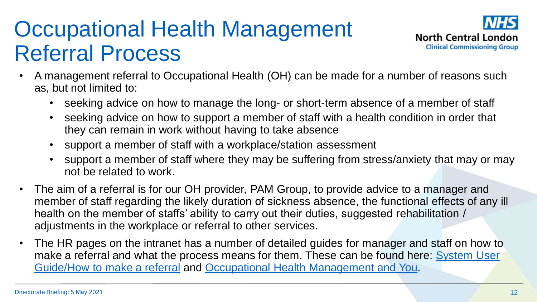#### Occupational Health Management Referral Process



- A management referral to Occupational Health (OH) can be made for a number of reasons such as, but not limited to:
	- seeking advice on how to manage the long- or short-term absence of a member of staff
	- seeking advice on how to support a member of staff with a health condition in order that they can remain in work without having to take absence
	- support a member of staff with a workplace/station assessment
	- support a member of staff where they may be suffering from stress/anxiety that may or may not be related to work.
- The aim of a referral is for our OH provider, PAM Group, to provide advice to a manager and member of staff regarding the likely duration of sickness absence, the functional effects of any ill health on the member of staffs' ability to carry out their duties, suggested rehabilitation / adjustments in the workplace or referral to other services.
- The HR pages on the intranet has a number of detailed guides for manager and staff on how to make a referral and what the process means for them. These can be found here: System User Guide/How to make a referral and [Occupational Health Management and You.](https://intranet.northcentrallondonccg.nhs.uk/downloads/OH/OH%20Management%20and%20YOU.pdf)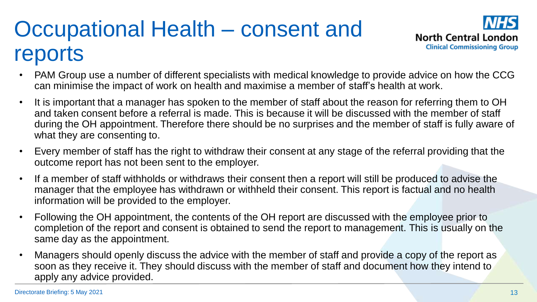# Occupational Health – consent and reports



- PAM Group use a number of different specialists with medical knowledge to provide advice on how the CCG can minimise the impact of work on health and maximise a member of staff's health at work.
- It is important that a manager has spoken to the member of staff about the reason for referring them to OH and taken consent before a referral is made. This is because it will be discussed with the member of staff during the OH appointment. Therefore there should be no surprises and the member of staff is fully aware of what they are consenting to.
- Every member of staff has the right to withdraw their consent at any stage of the referral providing that the outcome report has not been sent to the employer.
- If a member of staff withholds or withdraws their consent then a report will still be produced to advise the manager that the employee has withdrawn or withheld their consent. This report is factual and no health information will be provided to the employer.
- Following the OH appointment, the contents of the OH report are discussed with the employee prior to completion of the report and consent is obtained to send the report to management. This is usually on the same day as the appointment.
- Managers should openly discuss the advice with the member of staff and provide a copy of the report as soon as they receive it. They should discuss with the member of staff and document how they intend to apply any advice provided.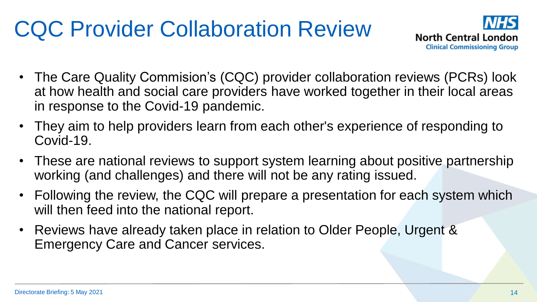# CQC Provider Collaboration Review



- The Care Quality Commision's (CQC) provider collaboration reviews (PCRs) look at how health and social care providers have worked together in their local areas in response to the Covid-19 pandemic.
- They aim to help providers learn from each other's experience of responding to Covid-19.
- These are national reviews to support system learning about positive partnership working (and challenges) and there will not be any rating issued.
- Following the review, the CQC will prepare a presentation for each system which will then feed into the national report.
- Reviews have already taken place in relation to Older People, Urgent & Emergency Care and Cancer services.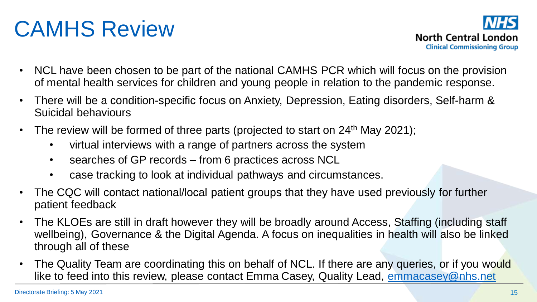# CAMHS Review



- NCL have been chosen to be part of the national CAMHS PCR which will focus on the provision of mental health services for children and young people in relation to the pandemic response.
- There will be a condition-specific focus on Anxiety, Depression, Eating disorders, Self-harm & Suicidal behaviours
- The review will be formed of three parts (projected to start on  $24<sup>th</sup>$  May 2021);
	- virtual interviews with a range of partners across the system
	- searches of GP records from 6 practices across NCL
	- case tracking to look at individual pathways and circumstances.
- The CQC will contact national/local patient groups that they have used previously for further patient feedback
- The KLOEs are still in draft however they will be broadly around Access, Staffing (including staff wellbeing), Governance & the Digital Agenda. A focus on inequalities in health will also be linked through all of these
- The Quality Team are coordinating this on behalf of NCL. If there are any queries, or if you would like to feed into this review, please contact Emma Casey, Quality Lead, [emmacasey@nhs.net](mailto:emmacasey@nhs.net)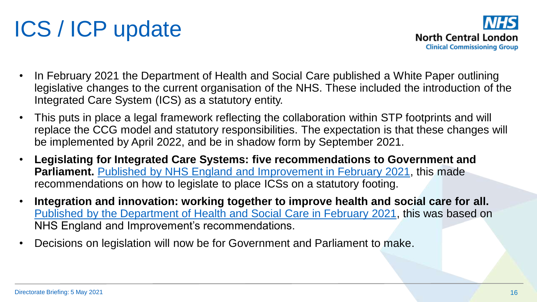# ICS / ICP update

- In February 2021 the Department of Health and Social Care published a White Paper outlining legislative changes to the current organisation of the NHS. These included the introduction of the Integrated Care System (ICS) as a statutory entity.
- This puts in place a legal framework reflecting the collaboration within STP footprints and will replace the CCG model and statutory responsibilities. The expectation is that these changes will be implemented by April 2022, and be in shadow form by September 2021.
- **Legislating for Integrated Care Systems: five recommendations to Government and Parliament.** [Published by NHS England and Improvement in February 2021,](https://www.england.nhs.uk/publication/legislating-for-integrated-care-systems-five-recommendations-to-government-and-parliament/) this made recommendations on how to legislate to place ICSs on a statutory footing.
- **Integration and innovation: working together to improve health and social care for all.**  [Published by the Department of Health and Social Care in February 2021](https://www.gov.uk/government/publications/working-together-to-improve-health-and-social-care-for-all/integration-and-innovation-working-together-to-improve-health-and-social-care-for-all-html-version), this was based on NHS England and Improvement's recommendations.
- Decisions on legislation will now be for Government and Parliament to make.

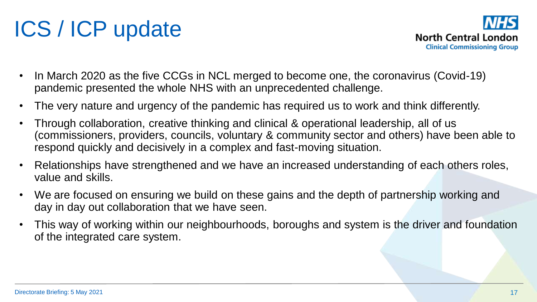# ICS / ICP update

- In March 2020 as the five CCGs in NCL merged to become one, the coronavirus (Covid-19) pandemic presented the whole NHS with an unprecedented challenge.
- The very nature and urgency of the pandemic has required us to work and think differently.
- Through collaboration, creative thinking and clinical & operational leadership, all of us (commissioners, providers, councils, voluntary & community sector and others) have been able to respond quickly and decisively in a complex and fast-moving situation.
- Relationships have strengthened and we have an increased understanding of each others roles, value and skills.
- We are focused on ensuring we build on these gains and the depth of partnership working and day in day out collaboration that we have seen.
- This way of working within our neighbourhoods, boroughs and system is the driver and foundation of the integrated care system.

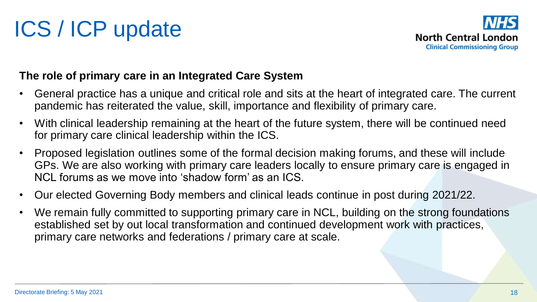

#### **The role of primary care in an Integrated Care System**

- General practice has a unique and critical role and sits at the heart of integrated care. The current pandemic has reiterated the value, skill, importance and flexibility of primary care.
- With clinical leadership remaining at the heart of the future system, there will be continued need for primary care clinical leadership within the ICS.
- Proposed legislation outlines some of the formal decision making forums, and these will include GPs. We are also working with primary care leaders locally to ensure primary care is engaged in NCL forums as we move into 'shadow form' as an ICS.
- Our elected Governing Body members and clinical leads continue in post during 2021/22.
- We remain fully committed to supporting primary care in NCL, building on the strong foundations established set by out local transformation and continued development work with practices, primary care networks and federations / primary care at scale.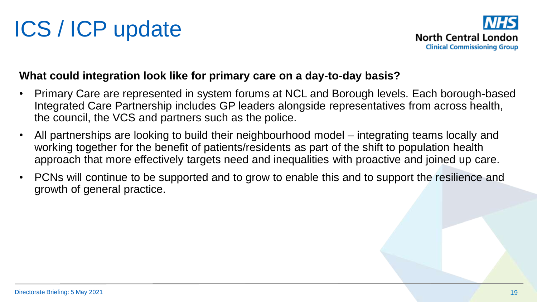# ICS / ICP update



#### **What could integration look like for primary care on a day-to-day basis?**

- Primary Care are represented in system forums at NCL and Borough levels. Each borough-based Integrated Care Partnership includes GP leaders alongside representatives from across health, the council, the VCS and partners such as the police.
- All partnerships are looking to build their neighbourhood model integrating teams locally and working together for the benefit of patients/residents as part of the shift to population health approach that more effectively targets need and inequalities with proactive and joined up care.
- PCNs will continue to be supported and to grow to enable this and to support the resilience and growth of general practice.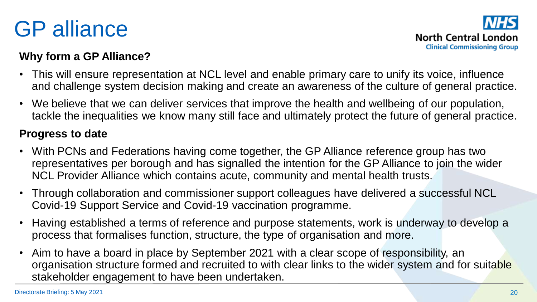### GP alliance



#### **Why form a GP Alliance?**

- This will ensure representation at NCL level and enable primary care to unify its voice, influence and challenge system decision making and create an awareness of the culture of general practice.
- We believe that we can deliver services that improve the health and wellbeing of our population, tackle the inequalities we know many still face and ultimately protect the future of general practice.

#### **Progress to date**

- With PCNs and Federations having come together, the GP Alliance reference group has two representatives per borough and has signalled the intention for the GP Alliance to join the wider NCL Provider Alliance which contains acute, community and mental health trusts.
- Through collaboration and commissioner support colleagues have delivered a successful NCL Covid-19 Support Service and Covid-19 vaccination programme.
- Having established a terms of reference and purpose statements, work is underway to develop a process that formalises function, structure, the type of organisation and more.
- Aim to have a board in place by September 2021 with a clear scope of responsibility, an organisation structure formed and recruited to with clear links to the wider system and for suitable stakeholder engagement to have been undertaken.